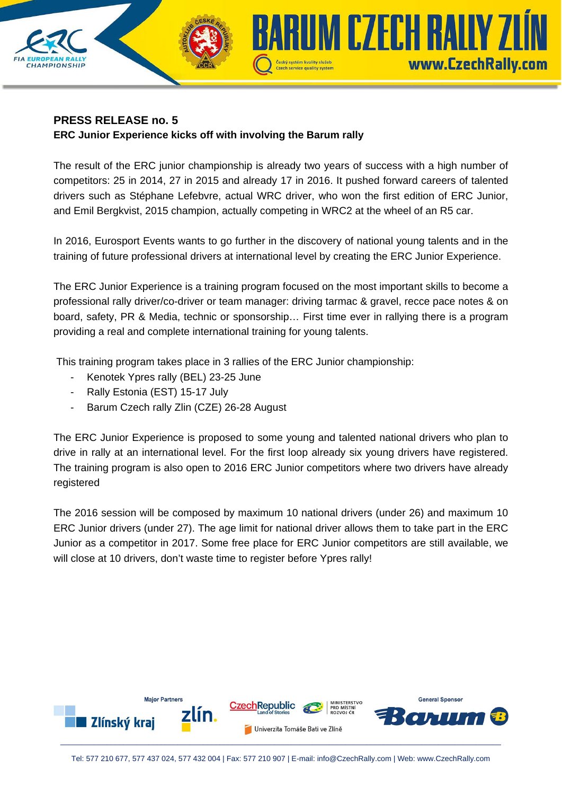

# **PRESS RELEASE no. 5 ERC Junior Experience kicks off with involving the Barum rally**

The result of the ERC junior championship is already two years of success with a high number of competitors: 25 in 2014, 27 in 2015 and already 17 in 2016. It pushed forward careers of talented drivers such as Stéphane Lefebvre, actual WRC driver, who won the first edition of ERC Junior, and Emil Bergkvist, 2015 champion, actually competing in WRC2 at the wheel of an R5 car.

In 2016, Eurosport Events wants to go further in the discovery of national young talents and in the training of future professional drivers at international level by creating the ERC Junior Experience.

The ERC Junior Experience is a training program focused on the most important skills to become a professional rally driver/co-driver or team manager: driving tarmac & gravel, recce pace notes & on board, safety, PR & Media, technic or sponsorship… First time ever in rallying there is a program providing a real and complete international training for young talents.

This training program takes place in 3 rallies of the ERC Junior championship:

- Kenotek Ypres rally (BEL) 23-25 June
- Rally Estonia (EST) 15-17 July
- Barum Czech rally Zlin (CZE) 26-28 August

The ERC Junior Experience is proposed to some young and talented national drivers who plan to drive in rally at an international level. For the first loop already six young drivers have registered. The training program is also open to 2016 ERC Junior competitors where two drivers have already registered

The 2016 session will be composed by maximum 10 national drivers (under 26) and maximum 10 ERC Junior drivers (under 27). The age limit for national driver allows them to take part in the ERC Junior as a competitor in 2017. Some free place for ERC Junior competitors are still available, we will close at 10 drivers, don't waste time to register before Ypres rally!

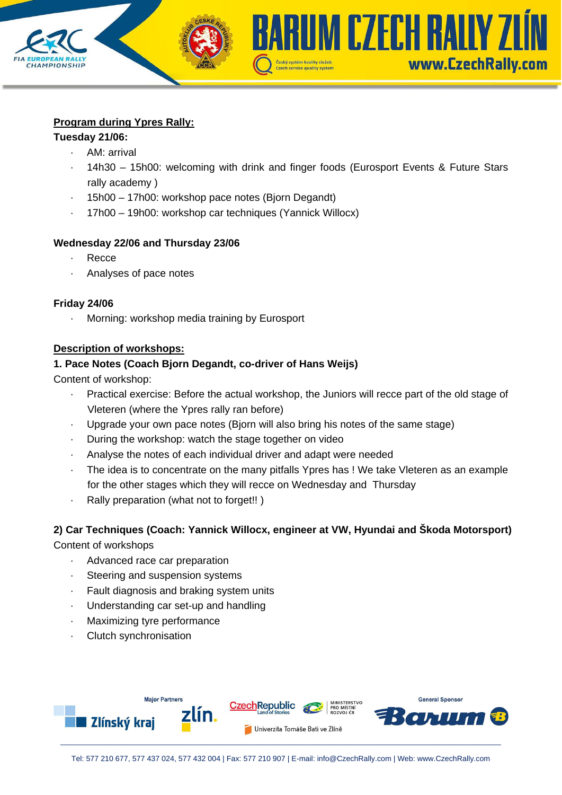## **Program during Ypres Rally:**

#### **Tuesday 21/06:**

**CHAMPIONSHIP** 

- · AM: arrival
- · 14h30 15h00: welcoming with drink and finger foods (Eurosport Events & Future Stars rally academy )

Czech service quality system

**ARUM CZECH RALLY ZLÍN** 

www.CzechRally.com

- · 15h00 17h00: workshop pace notes (Bjorn Degandt)
- · 17h00 19h00: workshop car techniques (Yannick Willocx)

## **Wednesday 22/06 and Thursday 23/06**

- · Recce
- · Analyses of pace notes

## **Friday 24/06**

Morning: workshop media training by Eurosport

## **Description of workshops:**

## **1. Pace Notes (Coach Bjorn Degandt, co-driver of Hans Weijs)**

Content of workshop:

- Practical exercise: Before the actual workshop, the Juniors will recce part of the old stage of Vleteren (where the Ypres rally ran before)
- Upgrade your own pace notes (Bjorn will also bring his notes of the same stage)
- · During the workshop: watch the stage together on video
- Analyse the notes of each individual driver and adapt were needed
- The idea is to concentrate on the many pitfalls Ypres has ! We take Vleteren as an example for the other stages which they will recce on Wednesday and Thursday
- · Rally preparation (what not to forget!! )

# **2) Car Techniques (Coach: Yannick Willocx, engineer at VW, Hyundai and Škoda Motorsport)**

Content of workshops

- · Advanced race car preparation
- Steering and suspension systems
- · Fault diagnosis and braking system units
- · Understanding car set-up and handling
- · Maximizing tyre performance
- Clutch synchronisation